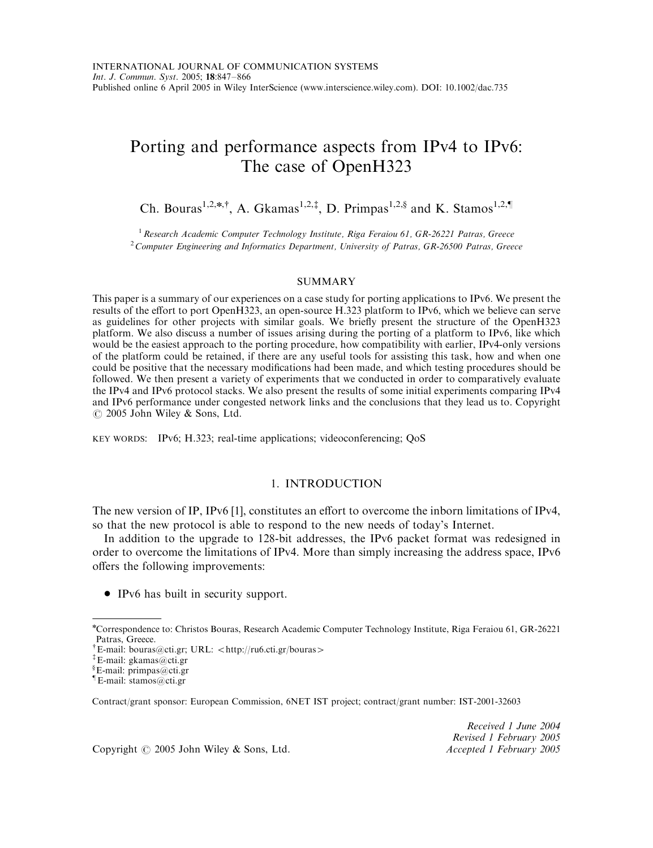# Porting and performance aspects from IPv4 to IPv6: The case of OpenH323

Ch. Bouras<sup>1,2,\*,†</sup>, A. Gkamas<sup>1,2,‡</sup>, D. Primpas<sup>1,2,§</sup> and K. Stamos<sup>1,2,¶</sup>

 $1$  Research Academic Computer Technology Institute, Riga Feraiou 61, GR-26221 Patras, Greece  $^{2}$ Computer Engineering and Informatics Department, University of Patras, GR-26500 Patras, Greece

## SUMMARY

This paper is a summary of our experiences on a case study for porting applications to IPv6. We present the results of the effort to port OpenH323, an open-source H.323 platform to IPv6, which we believe can serve as guidelines for other projects with similar goals. We briefly present the structure of the OpenH323 platform. We also discuss a number of issues arising during the porting of a platform to IPv6, like which would be the easiest approach to the porting procedure, how compatibility with earlier, IPv4-only versions of the platform could be retained, if there are any useful tools for assisting this task, how and when one could be positive that the necessary modifications had been made, and which testing procedures should be followed. We then present a variety of experiments that we conducted in order to comparatively evaluate the IPv4 and IPv6 protocol stacks. We also present the results of some initial experiments comparing IPv4 and IPv6 performance under congested network links and the conclusions that they lead us to. Copyright  $\odot$  2005 John Wiley & Sons, Ltd.

KEY WORDS: IPv6; H.323; real-time applications; videoconferencing; QoS

#### 1. INTRODUCTION

The new version of IP, IPv6 [1], constitutes an effort to overcome the inborn limitations of IPv4, so that the new protocol is able to respond to the new needs of today's Internet.

In addition to the upgrade to 128-bit addresses, the IPv6 packet format was redesigned in order to overcome the limitations of IPv4. More than simply increasing the address space, IPv6 offers the following improvements:

• IPv6 has built in security support.

Contract/grant sponsor: European Commission, 6NET IST project; contract/grant number: IST-2001-32603

Received 1 June 2004 Revised 1 February 2005

Copyright © 2005 John Wiley & Sons, Ltd. Accepted 1 February 2005

n Correspondence to: Christos Bouras, Research Academic Computer Technology Institute, Riga Feraiou 61, GR-26221 Patras, Greece.

<sup>&</sup>lt;sup>†</sup> E-mail: bouras@cti.gr; URL: <http://ru6.cti.gr/bouras>

<sup>z</sup>E-mail: gkamas@cti.gr

<sup>}</sup> E-mail: primpas@cti.gr

<sup>}</sup>E-mail: stamos@cti.gr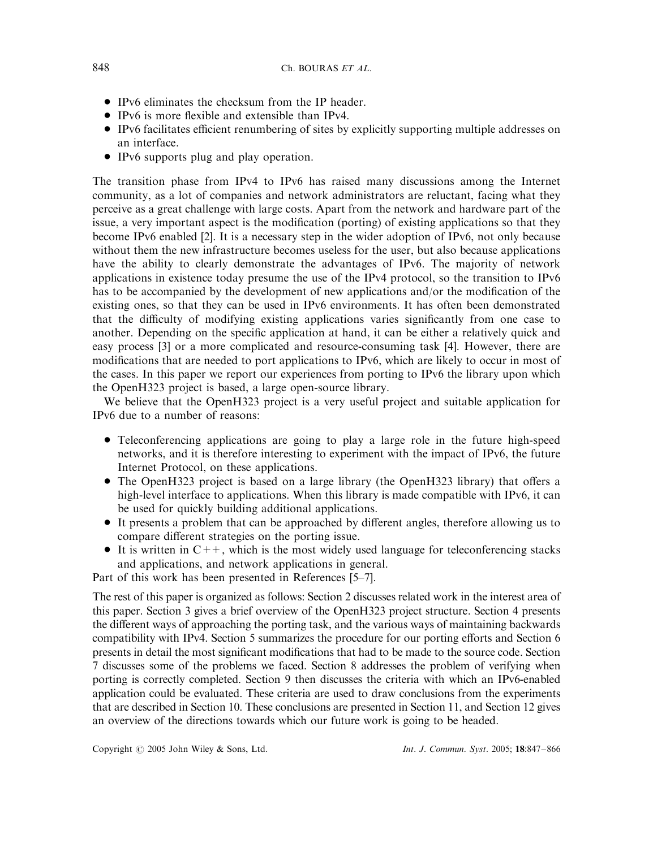- IPv6 eliminates the checksum from the IP header.
- IPv6 is more flexible and extensible than IPv4.
- IPv6 facilitates efficient renumbering of sites by explicitly supporting multiple addresses on an interface.
- IPv6 supports plug and play operation.

The transition phase from IPv4 to IPv6 has raised many discussions among the Internet community, as a lot of companies and network administrators are reluctant, facing what they perceive as a great challenge with large costs. Apart from the network and hardware part of the issue, a very important aspect is the modification (porting) of existing applications so that they become IPv6 enabled [2]. It is a necessary step in the wider adoption of IPv6, not only because without them the new infrastructure becomes useless for the user, but also because applications have the ability to clearly demonstrate the advantages of IPv6. The majority of network applications in existence today presume the use of the IPv4 protocol, so the transition to IPv6 has to be accompanied by the development of new applications and/or the modification of the existing ones, so that they can be used in IPv6 environments. It has often been demonstrated that the difficulty of modifying existing applications varies significantly from one case to another. Depending on the specific application at hand, it can be either a relatively quick and easy process [3] or a more complicated and resource-consuming task [4]. However, there are modifications that are needed to port applications to IPv6, which are likely to occur in most of the cases. In this paper we report our experiences from porting to IPv6 the library upon which the OpenH323 project is based, a large open-source library.

We believe that the OpenH323 project is a very useful project and suitable application for IPv6 due to a number of reasons:

- Teleconferencing applications are going to play a large role in the future high-speed networks, and it is therefore interesting to experiment with the impact of IPv6, the future Internet Protocol, on these applications.
- The OpenH323 project is based on a large library (the OpenH323 library) that offers a high-level interface to applications. When this library is made compatible with IPv6, it can be used for quickly building additional applications.
- \* It presents a problem that can be approached by different angles, therefore allowing us to compare different strategies on the porting issue.
- $\bullet$  It is written in  $C_{++}$ , which is the most widely used language for teleconferencing stacks and applications, and network applications in general.

Part of this work has been presented in References [5–7].

The rest of this paper is organized as follows: Section 2 discusses related work in the interest area of this paper. Section 3 gives a brief overview of the OpenH323 project structure. Section 4 presents the different ways of approaching the porting task, and the various ways of maintaining backwards compatibility with IPv4. Section 5 summarizes the procedure for our porting efforts and Section 6 presents in detail the most significant modifications that had to be made to the source code. Section 7 discusses some of the problems we faced. Section 8 addresses the problem of verifying when porting is correctly completed. Section 9 then discusses the criteria with which an IPv6-enabled application could be evaluated. These criteria are used to draw conclusions from the experiments that are described in Section 10. These conclusions are presented in Section 11, and Section 12 gives an overview of the directions towards which our future work is going to be headed.

Copyright  $\odot$  2005 John Wiley & Sons, Ltd. Int. J. Commun. Syst. 2005; 18:847-866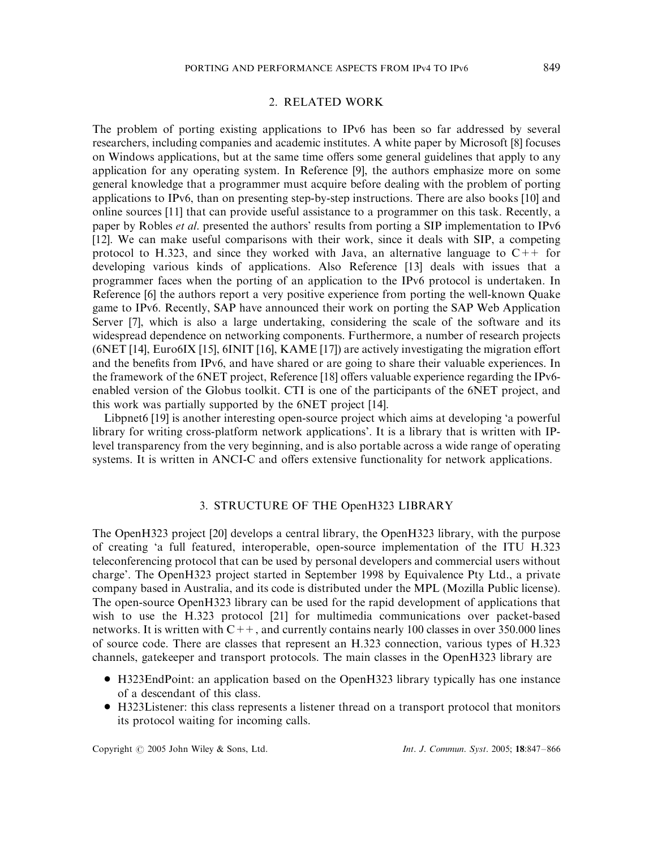#### 2. RELATED WORK

The problem of porting existing applications to IPv6 has been so far addressed by several researchers, including companies and academic institutes. A white paper by Microsoft [8] focuses on Windows applications, but at the same time offers some general guidelines that apply to any application for any operating system. In Reference [9], the authors emphasize more on some general knowledge that a programmer must acquire before dealing with the problem of porting applications to IPv6, than on presenting step-by-step instructions. There are also books [10] and online sources [11] that can provide useful assistance to a programmer on this task. Recently, a paper by Robles et al. presented the authors' results from porting a SIP implementation to IPv6 [12]. We can make useful comparisons with their work, since it deals with SIP, a competing protocol to H.323, and since they worked with Java, an alternative language to  $C_{++}$  for developing various kinds of applications. Also Reference [13] deals with issues that a programmer faces when the porting of an application to the IPv6 protocol is undertaken. In Reference [6] the authors report a very positive experience from porting the well-known Quake game to IPv6. Recently, SAP have announced their work on porting the SAP Web Application Server [7], which is also a large undertaking, considering the scale of the software and its widespread dependence on networking components. Furthermore, a number of research projects (6NET [14], Euro6IX [15], 6INIT [16], KAME [17]) are actively investigating the migration effort and the benefits from IPv6, and have shared or are going to share their valuable experiences. In the framework of the 6NET project, Reference [18] offers valuable experience regarding the IPv6 enabled version of the Globus toolkit. CTI is one of the participants of the 6NET project, and this work was partially supported by the 6NET project [14].

Libpnet6 [19] is another interesting open-source project which aims at developing 'a powerful library for writing cross-platform network applications'. It is a library that is written with IPlevel transparency from the very beginning, and is also portable across a wide range of operating systems. It is written in ANCI-C and offers extensive functionality for network applications.

# 3. STRUCTURE OF THE OpenH323 LIBRARY

The OpenH323 project [20] develops a central library, the OpenH323 library, with the purpose of creating 'a full featured, interoperable, open-source implementation of the ITU H.323 teleconferencing protocol that can be used by personal developers and commercial users without charge'. The OpenH323 project started in September 1998 by Equivalence Pty Ltd., a private company based in Australia, and its code is distributed under the MPL (Mozilla Public license). The open-source OpenH323 library can be used for the rapid development of applications that wish to use the H.323 protocol [21] for multimedia communications over packet-based networks. It is written with  $C++$ , and currently contains nearly 100 classes in over 350,000 lines of source code. There are classes that represent an H.323 connection, various types of H.323 channels, gatekeeper and transport protocols. The main classes in the OpenH323 library are

- \* H323EndPoint: an application based on the OpenH323 library typically has one instance of a descendant of this class.
- \* H323Listener: this class represents a listener thread on a transport protocol that monitors its protocol waiting for incoming calls.

Copyright  $\odot$  2005 John Wiley & Sons, Ltd. Int. J. Commun. Syst. 2005; 18:847–866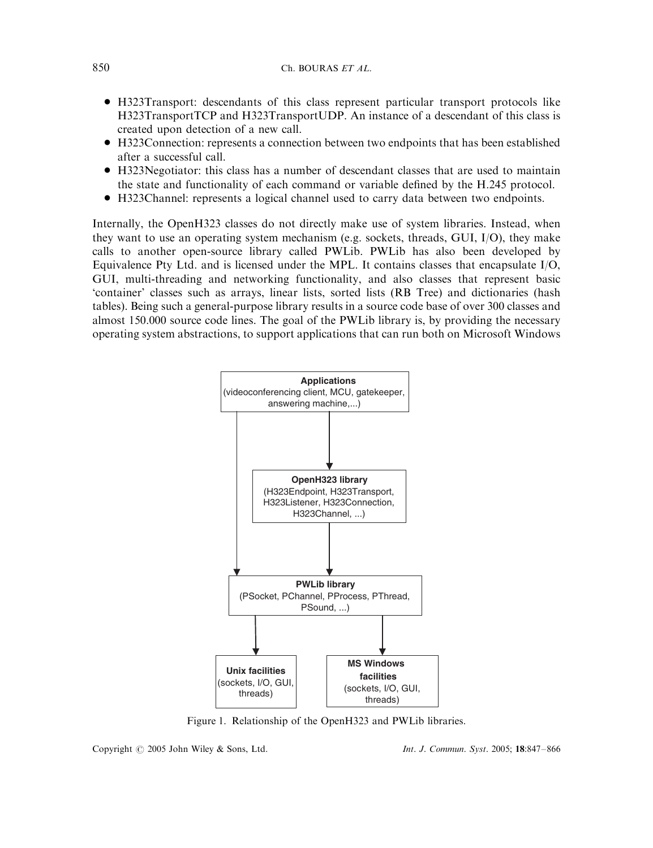- \* H323Transport: descendants of this class represent particular transport protocols like H323TransportTCP and H323TransportUDP. An instance of a descendant of this class is created upon detection of a new call.
- \* H323Connection: represents a connection between two endpoints that has been established after a successful call.
- \* H323Negotiator: this class has a number of descendant classes that are used to maintain the state and functionality of each command or variable defined by the H.245 protocol.
- \* H323Channel: represents a logical channel used to carry data between two endpoints.

Internally, the OpenH323 classes do not directly make use of system libraries. Instead, when they want to use an operating system mechanism (e.g. sockets, threads, GUI, I/O), they make calls to another open-source library called PWLib. PWLib has also been developed by Equivalence Pty Ltd. and is licensed under the MPL. It contains classes that encapsulate I/O, GUI, multi-threading and networking functionality, and also classes that represent basic 'container' classes such as arrays, linear lists, sorted lists (RB Tree) and dictionaries (hash tables). Being such a general-purpose library results in a source code base of over 300 classes and almost 150.000 source code lines. The goal of the PWLib library is, by providing the necessary operating system abstractions, to support applications that can run both on Microsoft Windows



Figure 1. Relationship of the OpenH323 and PWLib libraries.

Copyright  $\odot$  2005 John Wiley & Sons, Ltd. Int. J. Commun. Syst. 2005; 18:847-866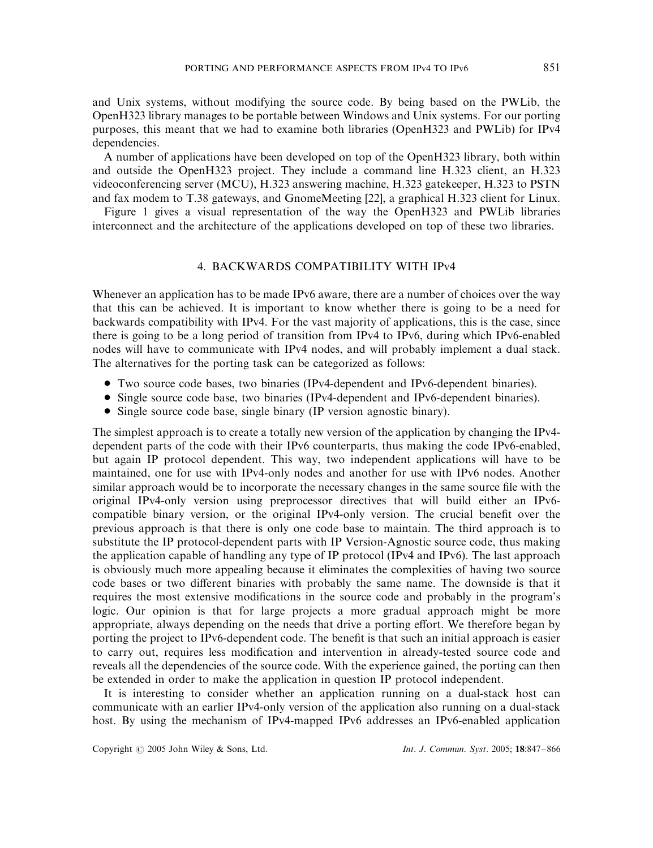and Unix systems, without modifying the source code. By being based on the PWLib, the OpenH323 library manages to be portable between Windows and Unix systems. For our porting purposes, this meant that we had to examine both libraries (OpenH323 and PWLib) for IPv4 dependencies.

A number of applications have been developed on top of the OpenH323 library, both within and outside the OpenH323 project. They include a command line H.323 client, an H.323 videoconferencing server (MCU), H.323 answering machine, H.323 gatekeeper, H.323 to PSTN and fax modem to T.38 gateways, and GnomeMeeting [22], a graphical H.323 client for Linux.

Figure 1 gives a visual representation of the way the OpenH323 and PWLib libraries interconnect and the architecture of the applications developed on top of these two libraries.

# 4. BACKWARDS COMPATIBILITY WITH IPv4

Whenever an application has to be made IPv6 aware, there are a number of choices over the way that this can be achieved. It is important to know whether there is going to be a need for backwards compatibility with IPv4. For the vast majority of applications, this is the case, since there is going to be a long period of transition from IPv4 to IPv6, during which IPv6-enabled nodes will have to communicate with IPv4 nodes, and will probably implement a dual stack. The alternatives for the porting task can be categorized as follows:

- \* Two source code bases, two binaries (IPv4-dependent and IPv6-dependent binaries).
- Single source code base, two binaries (IPv4-dependent and IPv6-dependent binaries).
- Single source code base, single binary (IP version agnostic binary).

The simplest approach is to create a totally new version of the application by changing the IPv4 dependent parts of the code with their IPv6 counterparts, thus making the code IPv6-enabled, but again IP protocol dependent. This way, two independent applications will have to be maintained, one for use with IPv4-only nodes and another for use with IPv6 nodes. Another similar approach would be to incorporate the necessary changes in the same source file with the original IPv4-only version using preprocessor directives that will build either an IPv6 compatible binary version, or the original IPv4-only version. The crucial benefit over the previous approach is that there is only one code base to maintain. The third approach is to substitute the IP protocol-dependent parts with IP Version-Agnostic source code, thus making the application capable of handling any type of IP protocol (IPv4 and IPv6). The last approach is obviously much more appealing because it eliminates the complexities of having two source code bases or two different binaries with probably the same name. The downside is that it requires the most extensive modifications in the source code and probably in the program's logic. Our opinion is that for large projects a more gradual approach might be more appropriate, always depending on the needs that drive a porting effort. We therefore began by porting the project to IPv6-dependent code. The benefit is that such an initial approach is easier to carry out, requires less modification and intervention in already-tested source code and reveals all the dependencies of the source code. With the experience gained, the porting can then be extended in order to make the application in question IP protocol independent.

It is interesting to consider whether an application running on a dual-stack host can communicate with an earlier IPv4-only version of the application also running on a dual-stack host. By using the mechanism of IPv4-mapped IPv6 addresses an IPv6-enabled application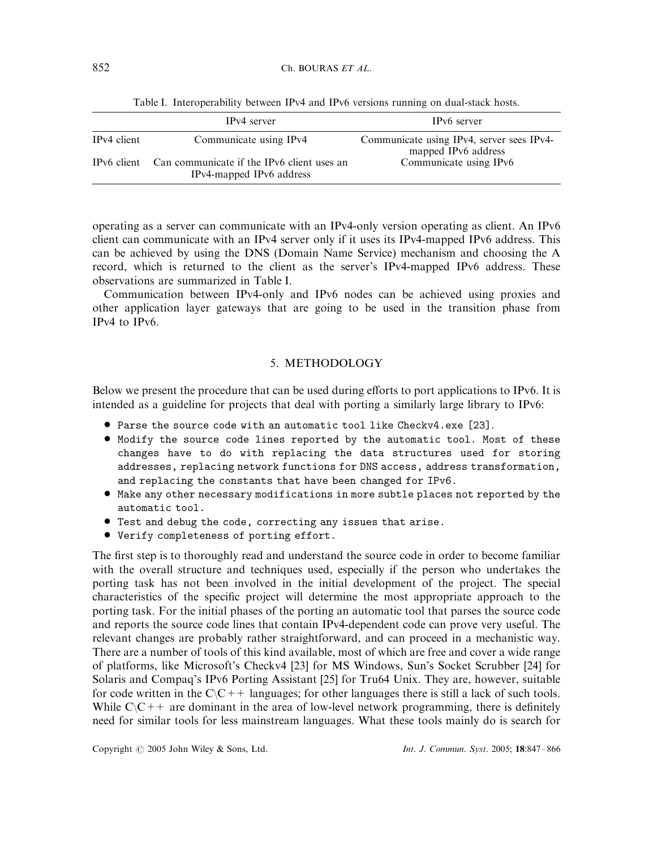|             | IP <sub>v</sub> 4 server                                                           | IP <sub>v</sub> 6 server                                         |
|-------------|------------------------------------------------------------------------------------|------------------------------------------------------------------|
| IPv4 client | Communicate using IPv4                                                             | Communicate using IPv4, server sees IPv4-<br>mapped IPv6 address |
|             | IPv6 client Can communicate if the IPv6 client uses an<br>IPv4-mapped IPv6 address | Communicate using IPv6                                           |

Table I. Interoperability between IPv4 and IPv6 versions running on dual-stack hosts.

operating as a server can communicate with an IPv4-only version operating as client. An IPv6 client can communicate with an IPv4 server only if it uses its IPv4-mapped IPv6 address. This can be achieved by using the DNS (Domain Name Service) mechanism and choosing the A record, which is returned to the client as the server's IPv4-mapped IPv6 address. These observations are summarized in Table I.

Communication between IPv4-only and IPv6 nodes can be achieved using proxies and other application layer gateways that are going to be used in the transition phase from IPv4 to IPv6.

# 5. METHODOLOGY

Below we present the procedure that can be used during efforts to port applications to IPv6. It is intended as a guideline for projects that deal with porting a similarly large library to IPv6:

- \* Parse the source code with an automatic tool like Checkv4.exe [23].
- \* Modify the source code lines reported by the automatic tool. Most of these changes have to do with replacing the data structures used for storing addresses, replacing network functions for DNS access, address transformation, and replacing the constants that have been changed for IPv6.
- \* Make any other necessary modifications in more subtle places not reported by the automatic tool.
- Test and debug the code, correcting any issues that arise.
- Verify completeness of porting effort.

The first step is to thoroughly read and understand the source code in order to become familiar with the overall structure and techniques used, especially if the person who undertakes the porting task has not been involved in the initial development of the project. The special characteristics of the specific project will determine the most appropriate approach to the porting task. For the initial phases of the porting an automatic tool that parses the source code and reports the source code lines that contain IPv4-dependent code can prove very useful. The relevant changes are probably rather straightforward, and can proceed in a mechanistic way. There are a number of tools of this kind available, most of which are free and cover a wide range of platforms, like Microsoft's Checkv4 [23] for MS Windows, Sun's Socket Scrubber [24] for Solaris and Compaq's IPv6 Porting Assistant [25] for Tru64 Unix. They are, however, suitable for code written in the  $C\setminus C++$  languages; for other languages there is still a lack of such tools. While  $C\setminus C++$  are dominant in the area of low-level network programming, there is definitely need for similar tools for less mainstream languages. What these tools mainly do is search for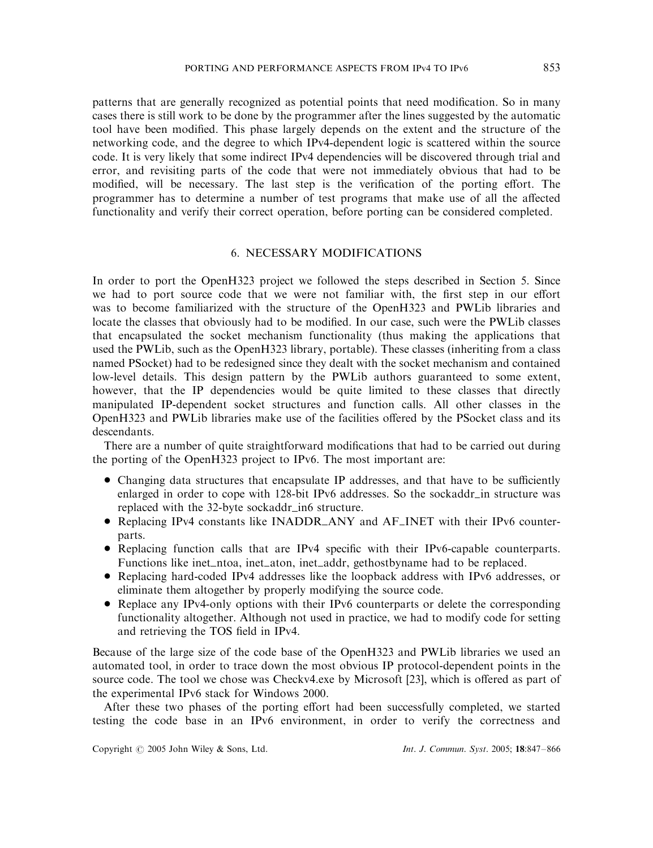patterns that are generally recognized as potential points that need modification. So in many cases there is still work to be done by the programmer after the lines suggested by the automatic tool have been modified. This phase largely depends on the extent and the structure of the networking code, and the degree to which IPv4-dependent logic is scattered within the source code. It is very likely that some indirect IPv4 dependencies will be discovered through trial and error, and revisiting parts of the code that were not immediately obvious that had to be modified, will be necessary. The last step is the verification of the porting effort. The programmer has to determine a number of test programs that make use of all the affected functionality and verify their correct operation, before porting can be considered completed.

# 6. NECESSARY MODIFICATIONS

In order to port the OpenH323 project we followed the steps described in Section 5. Since we had to port source code that we were not familiar with, the first step in our effort was to become familiarized with the structure of the OpenH323 and PWLib libraries and locate the classes that obviously had to be modified. In our case, such were the PWLib classes that encapsulated the socket mechanism functionality (thus making the applications that used the PWLib, such as the OpenH323 library, portable). These classes (inheriting from a class named PSocket) had to be redesigned since they dealt with the socket mechanism and contained low-level details. This design pattern by the PWLib authors guaranteed to some extent, however, that the IP dependencies would be quite limited to these classes that directly manipulated IP-dependent socket structures and function calls. All other classes in the OpenH323 and PWLib libraries make use of the facilities offered by the PSocket class and its descendants.

There are a number of quite straightforward modifications that had to be carried out during the porting of the OpenH323 project to IPv6. The most important are:

- Changing data structures that encapsulate IP addresses, and that have to be sufficiently enlarged in order to cope with 128-bit IPv6 addresses. So the sockaddr\_in structure was replaced with the 32-byte sockaddr\_in6 structure.
- Replacing IPv4 constants like INADDR\_ANY and AF\_INET with their IPv6 counterparts.
- \* Replacing function calls that are IPv4 specific with their IPv6-capable counterparts. Functions like inet\_ntoa, inet\_aton, inet\_addr, gethostbyname had to be replaced.
- \* Replacing hard-coded IPv4 addresses like the loopback address with IPv6 addresses, or eliminate them altogether by properly modifying the source code.
- Replace any IPv4-only options with their IPv6 counterparts or delete the corresponding functionality altogether. Although not used in practice, we had to modify code for setting and retrieving the TOS field in IPv4.

Because of the large size of the code base of the OpenH323 and PWLib libraries we used an automated tool, in order to trace down the most obvious IP protocol-dependent points in the source code. The tool we chose was Checkv4.exe by Microsoft [23], which is offered as part of the experimental IPv6 stack for Windows 2000.

After these two phases of the porting effort had been successfully completed, we started testing the code base in an IPv6 environment, in order to verify the correctness and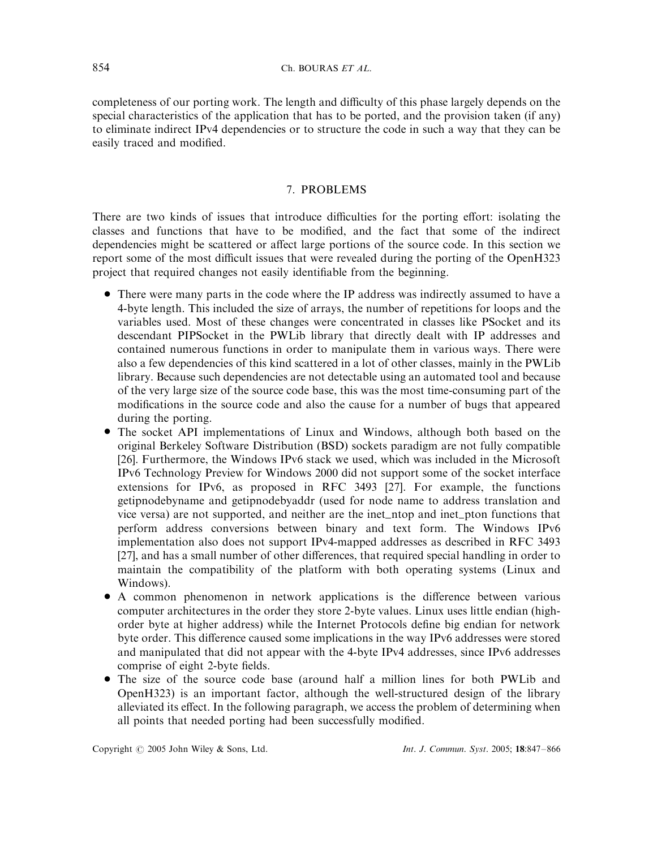completeness of our porting work. The length and difficulty of this phase largely depends on the special characteristics of the application that has to be ported, and the provision taken (if any) to eliminate indirect IPv4 dependencies or to structure the code in such a way that they can be easily traced and modified.

## 7. PROBLEMS

There are two kinds of issues that introduce difficulties for the porting effort: isolating the classes and functions that have to be modified, and the fact that some of the indirect dependencies might be scattered or affect large portions of the source code. In this section we report some of the most difficult issues that were revealed during the porting of the OpenH323 project that required changes not easily identifiable from the beginning.

- There were many parts in the code where the IP address was indirectly assumed to have a 4-byte length. This included the size of arrays, the number of repetitions for loops and the variables used. Most of these changes were concentrated in classes like PSocket and its descendant PIPSocket in the PWLib library that directly dealt with IP addresses and contained numerous functions in order to manipulate them in various ways. There were also a few dependencies of this kind scattered in a lot of other classes, mainly in the PWLib library. Because such dependencies are not detectable using an automated tool and because of the very large size of the source code base, this was the most time-consuming part of the modifications in the source code and also the cause for a number of bugs that appeared during the porting.
- \* The socket API implementations of Linux and Windows, although both based on the original Berkeley Software Distribution (BSD) sockets paradigm are not fully compatible [26]. Furthermore, the Windows IPv6 stack we used, which was included in the Microsoft IPv6 Technology Preview for Windows 2000 did not support some of the socket interface extensions for IPv6, as proposed in RFC 3493 [27]. For example, the functions getipnodebyname and getipnodebyaddr (used for node name to address translation and vice versa) are not supported, and neither are the inet ntop and inet pton functions that perform address conversions between binary and text form. The Windows IPv6 implementation also does not support IPv4-mapped addresses as described in RFC 3493 [27], and has a small number of other differences, that required special handling in order to maintain the compatibility of the platform with both operating systems (Linux and Windows).
- \* A common phenomenon in network applications is the difference between various computer architectures in the order they store 2-byte values. Linux uses little endian (highorder byte at higher address) while the Internet Protocols define big endian for network byte order. This difference caused some implications in the way IPv6 addresses were stored and manipulated that did not appear with the 4-byte IPv4 addresses, since IPv6 addresses comprise of eight 2-byte fields.
- The size of the source code base (around half a million lines for both PWLib and OpenH323) is an important factor, although the well-structured design of the library alleviated its effect. In the following paragraph, we access the problem of determining when all points that needed porting had been successfully modified.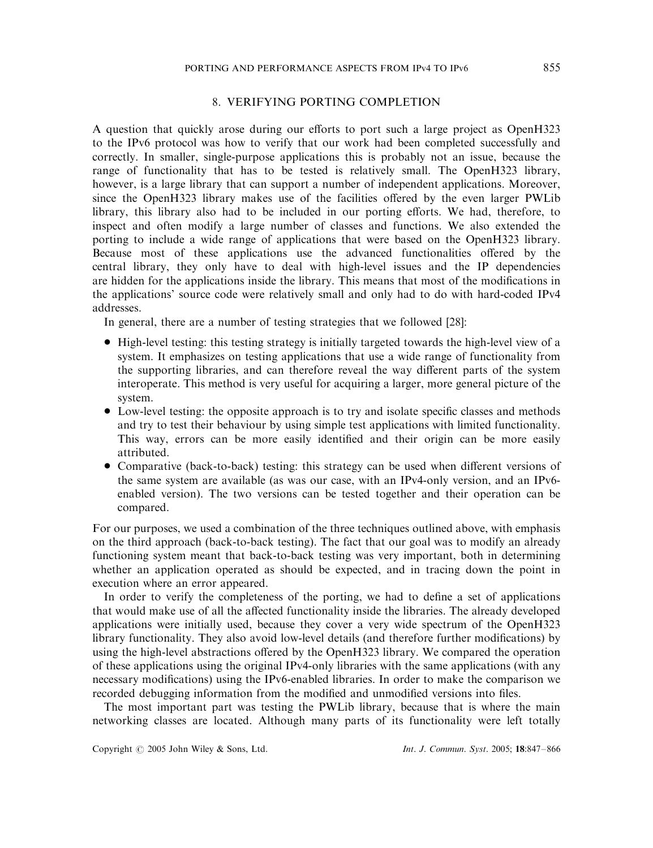### 8. VERIFYING PORTING COMPLETION

A question that quickly arose during our efforts to port such a large project as OpenH323 to the IPv6 protocol was how to verify that our work had been completed successfully and correctly. In smaller, single-purpose applications this is probably not an issue, because the range of functionality that has to be tested is relatively small. The OpenH323 library, however, is a large library that can support a number of independent applications. Moreover, since the OpenH323 library makes use of the facilities offered by the even larger PWLib library, this library also had to be included in our porting efforts. We had, therefore, to inspect and often modify a large number of classes and functions. We also extended the porting to include a wide range of applications that were based on the OpenH323 library. Because most of these applications use the advanced functionalities offered by the central library, they only have to deal with high-level issues and the IP dependencies are hidden for the applications inside the library. This means that most of the modifications in the applications' source code were relatively small and only had to do with hard-coded IPv4 addresses.

In general, there are a number of testing strategies that we followed [28]:

- High-level testing: this testing strategy is initially targeted towards the high-level view of a system. It emphasizes on testing applications that use a wide range of functionality from the supporting libraries, and can therefore reveal the way different parts of the system interoperate. This method is very useful for acquiring a larger, more general picture of the system.
- Low-level testing: the opposite approach is to try and isolate specific classes and methods and try to test their behaviour by using simple test applications with limited functionality. This way, errors can be more easily identified and their origin can be more easily attributed.
- Comparative (back-to-back) testing: this strategy can be used when different versions of the same system are available (as was our case, with an IPv4-only version, and an IPv6 enabled version). The two versions can be tested together and their operation can be compared.

For our purposes, we used a combination of the three techniques outlined above, with emphasis on the third approach (back-to-back testing). The fact that our goal was to modify an already functioning system meant that back-to-back testing was very important, both in determining whether an application operated as should be expected, and in tracing down the point in execution where an error appeared.

In order to verify the completeness of the porting, we had to define a set of applications that would make use of all the affected functionality inside the libraries. The already developed applications were initially used, because they cover a very wide spectrum of the OpenH323 library functionality. They also avoid low-level details (and therefore further modifications) by using the high-level abstractions offered by the OpenH323 library. We compared the operation of these applications using the original IPv4-only libraries with the same applications (with any necessary modifications) using the IPv6-enabled libraries. In order to make the comparison we recorded debugging information from the modified and unmodified versions into files.

The most important part was testing the PWLib library, because that is where the main networking classes are located. Although many parts of its functionality were left totally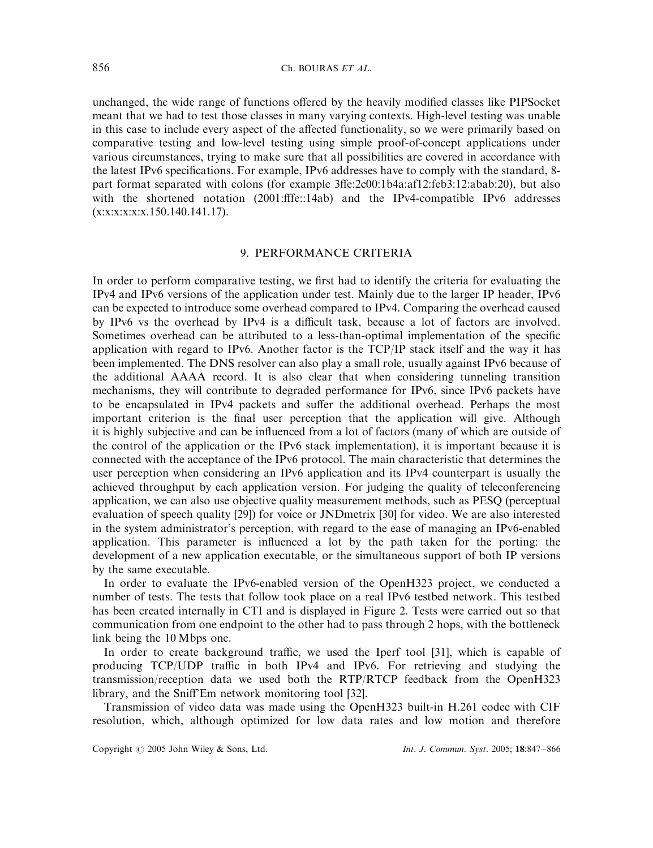unchanged, the wide range of functions offered by the heavily modified classes like PIPSocket meant that we had to test those classes in many varying contexts. High-level testing was unable in this case to include every aspect of the affected functionality, so we were primarily based on comparative testing and low-level testing using simple proof-of-concept applications under various circumstances, trying to make sure that all possibilities are covered in accordance with the latest IPv6 specifications. For example, IPv6 addresses have to comply with the standard, 8 part format separated with colons (for example 3ffe:2c00:1b4a:af12:feb3:12:abab:20), but also with the shortened notation (2001:fffe::14ab) and the IPv4-compatible IPv6 addresses  $(x:x:x:x:x.150.140.141.17)$ .

# 9. PERFORMANCE CRITERIA

In order to perform comparative testing, we first had to identify the criteria for evaluating the IPv4 and IPv6 versions of the application under test. Mainly due to the larger IP header, IPv6 can be expected to introduce some overhead compared to IPv4. Comparing the overhead caused by IPv6 vs the overhead by IPv4 is a difficult task, because a lot of factors are involved. Sometimes overhead can be attributed to a less-than-optimal implementation of the specific application with regard to IPv6. Another factor is the TCP/IP stack itself and the way it has been implemented. The DNS resolver can also play a small role, usually against IPv6 because of the additional AAAA record. It is also clear that when considering tunneling transition mechanisms, they will contribute to degraded performance for IPv6, since IPv6 packets have to be encapsulated in IPv4 packets and suffer the additional overhead. Perhaps the most important criterion is the final user perception that the application will give. Although it is highly subjective and can be influenced from a lot of factors (many of which are outside of the control of the application or the IPv6 stack implementation), it is important because it is connected with the acceptance of the IPv6 protocol. The main characteristic that determines the user perception when considering an IPv6 application and its IPv4 counterpart is usually the achieved throughput by each application version. For judging the quality of teleconferencing application, we can also use objective quality measurement methods, such as PESQ (perceptual evaluation of speech quality [29]) for voice or JNDmetrix [30] for video. We are also interested in the system administrator's perception, with regard to the ease of managing an IPv6-enabled application. This parameter is influenced a lot by the path taken for the porting: the development of a new application executable, or the simultaneous support of both IP versions by the same executable.

In order to evaluate the IPv6-enabled version of the OpenH323 project, we conducted a number of tests. The tests that follow took place on a real IPv6 testbed network. This testbed has been created internally in CTI and is displayed in Figure 2. Tests were carried out so that communication from one endpoint to the other had to pass through 2 hops, with the bottleneck link being the 10 Mbps one.

In order to create background traffic, we used the Iperf tool [31], which is capable of producing TCP/UDP traffic in both IPv4 and IPv6. For retrieving and studying the transmission/reception data we used both the RTP/RTCP feedback from the OpenH323 library, and the Sniff'Em network monitoring tool [32].

Transmission of video data was made using the OpenH323 built-in H.261 codec with CIF resolution, which, although optimized for low data rates and low motion and therefore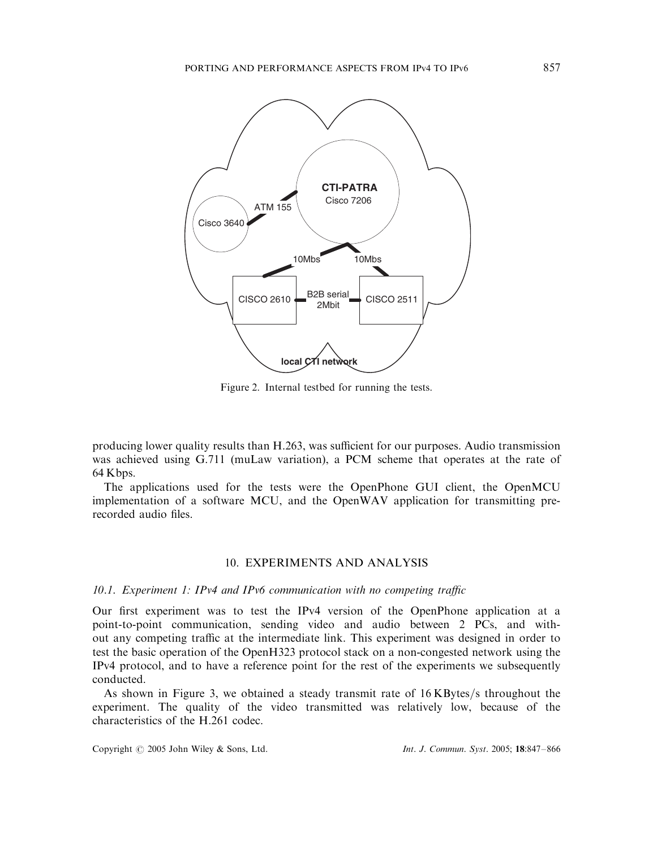

Figure 2. Internal testbed for running the tests.

producing lower quality results than H.263, was sufficient for our purposes. Audio transmission was achieved using G.711 (muLaw variation), a PCM scheme that operates at the rate of 64 Kbps:

The applications used for the tests were the OpenPhone GUI client, the OpenMCU implementation of a software MCU, and the OpenWAV application for transmitting prerecorded audio files.

## 10. EXPERIMENTS AND ANALYSIS

#### 10.1. Experiment 1: IPv4 and IPv6 communication with no competing traffic

Our first experiment was to test the IPv4 version of the OpenPhone application at a point-to-point communication, sending video and audio between 2 PCs, and without any competing traffic at the intermediate link. This experiment was designed in order to test the basic operation of the OpenH323 protocol stack on a non-congested network using the IPv4 protocol, and to have a reference point for the rest of the experiments we subsequently conducted.

As shown in Figure 3, we obtained a steady transmit rate of  $16$  KBytes/s throughout the experiment. The quality of the video transmitted was relatively low, because of the characteristics of the H.261 codec.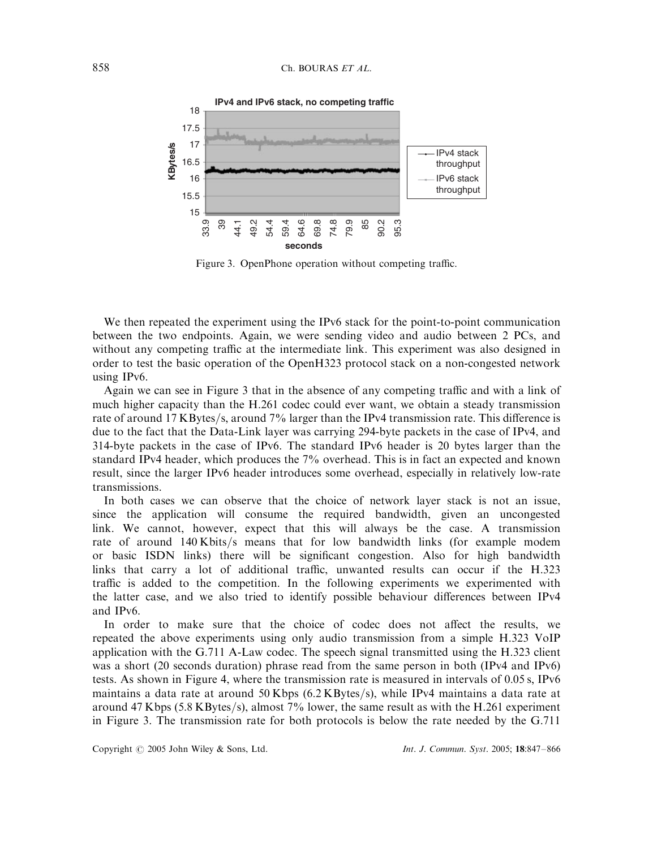

Figure 3. OpenPhone operation without competing traffic.

We then repeated the experiment using the IPv6 stack for the point-to-point communication between the two endpoints. Again, we were sending video and audio between 2 PCs, and without any competing traffic at the intermediate link. This experiment was also designed in order to test the basic operation of the OpenH323 protocol stack on a non-congested network using IPv6.

Again we can see in Figure 3 that in the absence of any competing traffic and with a link of much higher capacity than the H.261 codec could ever want, we obtain a steady transmission rate of around 17 KBytes/s, around 7% larger than the IPv4 transmission rate. This difference is due to the fact that the Data-Link layer was carrying 294-byte packets in the case of IPv4, and 314-byte packets in the case of IPv6. The standard IPv6 header is 20 bytes larger than the standard IPv4 header, which produces the 7% overhead. This is in fact an expected and known result, since the larger IPv6 header introduces some overhead, especially in relatively low-rate transmissions.

In both cases we can observe that the choice of network layer stack is not an issue, since the application will consume the required bandwidth, given an uncongested link. We cannot, however, expect that this will always be the case. A transmission rate of around 140 Kbits/s means that for low bandwidth links (for example modem or basic ISDN links) there will be significant congestion. Also for high bandwidth links that carry a lot of additional traffic, unwanted results can occur if the H.323 traffic is added to the competition. In the following experiments we experimented with the latter case, and we also tried to identify possible behaviour differences between IPv4 and IPv6.

In order to make sure that the choice of codec does not affect the results, we repeated the above experiments using only audio transmission from a simple H.323 VoIP application with the G.711 A-Law codec. The speech signal transmitted using the H.323 client was a short (20 seconds duration) phrase read from the same person in both (IPv4 and IPv6) tests. As shown in Figure 4, where the transmission rate is measured in intervals of 0:05 s; IPv6 maintains a data rate at around 50 Kbps  $(6.2 \text{ KBytes/s})$ , while IPv4 maintains a data rate at around 47 Kbps (5.8 KBytes/s), almost 7% lower, the same result as with the H.261 experiment in Figure 3. The transmission rate for both protocols is below the rate needed by the G.711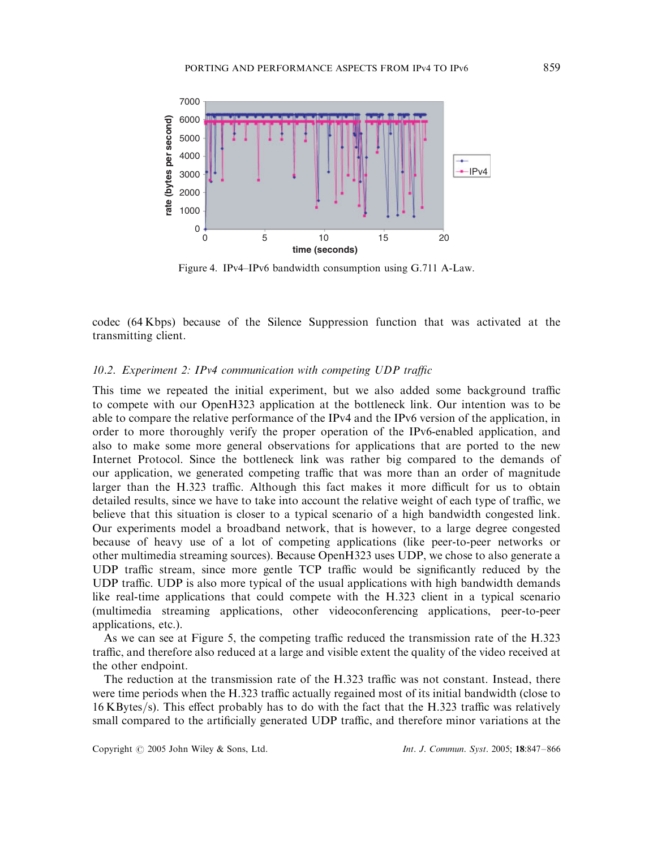

Figure 4. IPv4–IPv6 bandwidth consumption using G.711 A-Law.

codec (64 Kbps) because of the Silence Suppression function that was activated at the transmitting client.

## 10.2. Experiment 2: IPv4 communication with competing UDP traffic

This time we repeated the initial experiment, but we also added some background traffic to compete with our OpenH323 application at the bottleneck link. Our intention was to be able to compare the relative performance of the IPv4 and the IPv6 version of the application, in order to more thoroughly verify the proper operation of the IPv6-enabled application, and also to make some more general observations for applications that are ported to the new Internet Protocol. Since the bottleneck link was rather big compared to the demands of our application, we generated competing traffic that was more than an order of magnitude larger than the H.323 traffic. Although this fact makes it more difficult for us to obtain detailed results, since we have to take into account the relative weight of each type of traffic, we believe that this situation is closer to a typical scenario of a high bandwidth congested link. Our experiments model a broadband network, that is however, to a large degree congested because of heavy use of a lot of competing applications (like peer-to-peer networks or other multimedia streaming sources). Because OpenH323 uses UDP, we chose to also generate a UDP traffic stream, since more gentle TCP traffic would be significantly reduced by the UDP traffic. UDP is also more typical of the usual applications with high bandwidth demands like real-time applications that could compete with the H.323 client in a typical scenario (multimedia streaming applications, other videoconferencing applications, peer-to-peer applications, etc.).

As we can see at Figure 5, the competing traffic reduced the transmission rate of the H.323 traffic, and therefore also reduced at a large and visible extent the quality of the video received at the other endpoint.

The reduction at the transmission rate of the H.323 traffic was not constant. Instead, there were time periods when the H.323 traffic actually regained most of its initial bandwidth (close to  $16$  KBytes/s). This effect probably has to do with the fact that the H.323 traffic was relatively small compared to the artificially generated UDP traffic, and therefore minor variations at the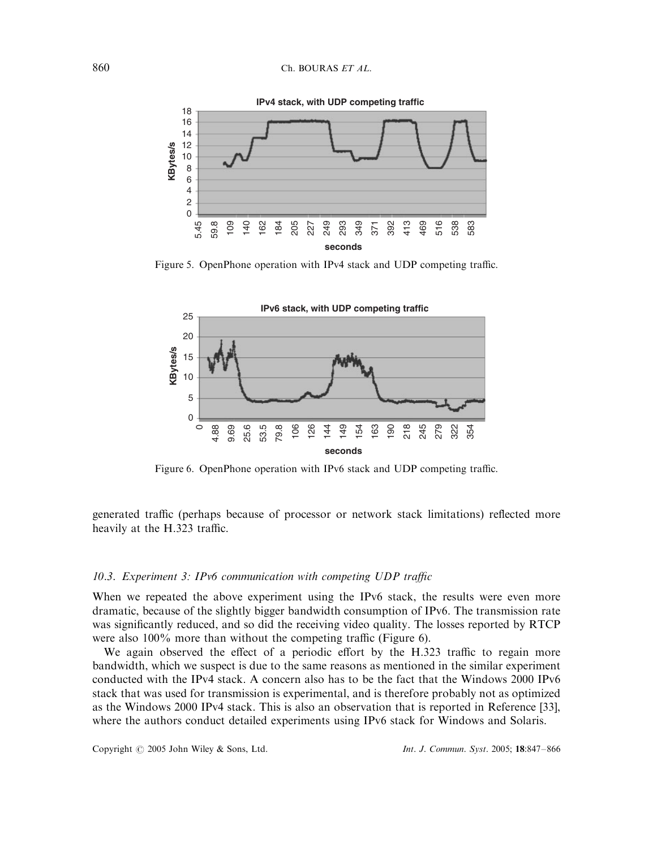

Figure 5. OpenPhone operation with IPv4 stack and UDP competing traffic.



Figure 6. OpenPhone operation with IPv6 stack and UDP competing traffic.

generated traffic (perhaps because of processor or network stack limitations) reflected more heavily at the H.323 traffic.

#### 10.3. Experiment 3: IPv6 communication with competing UDP traffic

When we repeated the above experiment using the IPv6 stack, the results were even more dramatic, because of the slightly bigger bandwidth consumption of IPv6. The transmission rate was significantly reduced, and so did the receiving video quality. The losses reported by RTCP were also 100% more than without the competing traffic (Figure 6).

We again observed the effect of a periodic effort by the H.323 traffic to regain more bandwidth, which we suspect is due to the same reasons as mentioned in the similar experiment conducted with the IPv4 stack. A concern also has to be the fact that the Windows 2000 IPv6 stack that was used for transmission is experimental, and is therefore probably not as optimized as the Windows 2000 IPv4 stack. This is also an observation that is reported in Reference [33], where the authors conduct detailed experiments using IPv6 stack for Windows and Solaris.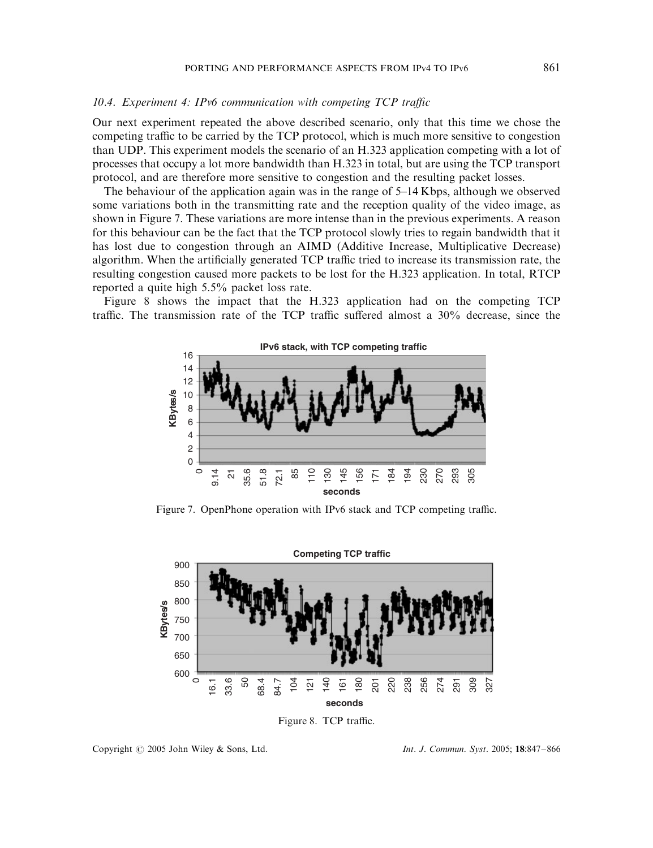#### 10.4. Experiment 4: IPv6 communication with competing TCP traffic

Our next experiment repeated the above described scenario, only that this time we chose the competing traffic to be carried by the TCP protocol, which is much more sensitive to congestion than UDP. This experiment models the scenario of an H.323 application competing with a lot of processes that occupy a lot more bandwidth than H.323 in total, but are using the TCP transport protocol, and are therefore more sensitive to congestion and the resulting packet losses.

The behaviour of the application again was in the range of 5–14 Kbps; although we observed some variations both in the transmitting rate and the reception quality of the video image, as shown in Figure 7. These variations are more intense than in the previous experiments. A reason for this behaviour can be the fact that the TCP protocol slowly tries to regain bandwidth that it has lost due to congestion through an AIMD (Additive Increase, Multiplicative Decrease) algorithm. When the artificially generated TCP traffic tried to increase its transmission rate, the resulting congestion caused more packets to be lost for the H.323 application. In total, RTCP reported a quite high 5.5% packet loss rate.

Figure 8 shows the impact that the H.323 application had on the competing TCP traffic. The transmission rate of the TCP traffic suffered almost a 30% decrease, since the



Figure 7. OpenPhone operation with IPv6 stack and TCP competing traffic.





Copyright  $\odot$  2005 John Wiley & Sons, Ltd. Int. J. Commun. Syst. 2005; 18:847-866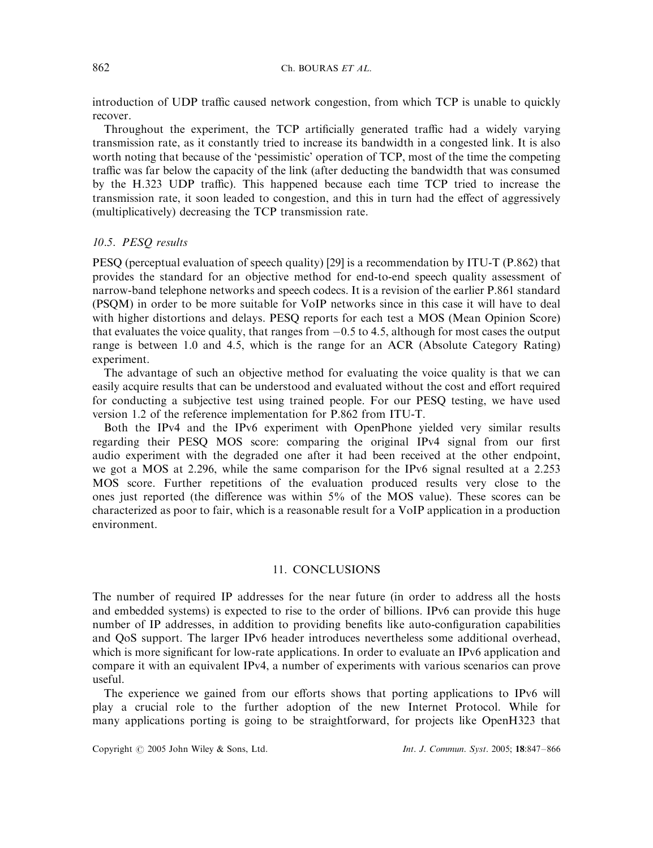introduction of UDP traffic caused network congestion, from which TCP is unable to quickly recover.

Throughout the experiment, the TCP artificially generated traffic had a widely varying transmission rate, as it constantly tried to increase its bandwidth in a congested link. It is also worth noting that because of the 'pessimistic' operation of TCP, most of the time the competing traffic was far below the capacity of the link (after deducting the bandwidth that was consumed by the H.323 UDP traffic). This happened because each time TCP tried to increase the transmission rate, it soon leaded to congestion, and this in turn had the effect of aggressively (multiplicatively) decreasing the TCP transmission rate.

## 10.5. PESQ results

PESQ (perceptual evaluation of speech quality) [29] is a recommendation by ITU-T (P.862) that provides the standard for an objective method for end-to-end speech quality assessment of narrow-band telephone networks and speech codecs. It is a revision of the earlier P.861 standard (PSQM) in order to be more suitable for VoIP networks since in this case it will have to deal with higher distortions and delays. PESQ reports for each test a MOS (Mean Opinion Score) that evaluates the voice quality, that ranges from  $-0.5$  to 4.5, although for most cases the output range is between 1.0 and 4.5, which is the range for an ACR (Absolute Category Rating) experiment.

The advantage of such an objective method for evaluating the voice quality is that we can easily acquire results that can be understood and evaluated without the cost and effort required for conducting a subjective test using trained people. For our PESQ testing, we have used version 1.2 of the reference implementation for P.862 from ITU-T.

Both the IPv4 and the IPv6 experiment with OpenPhone yielded very similar results regarding their PESQ MOS score: comparing the original IPv4 signal from our first audio experiment with the degraded one after it had been received at the other endpoint, we got a MOS at 2.296, while the same comparison for the IPv6 signal resulted at a 2.253 MOS score. Further repetitions of the evaluation produced results very close to the ones just reported (the difference was within 5% of the MOS value). These scores can be characterized as poor to fair, which is a reasonable result for a VoIP application in a production environment.

# 11. CONCLUSIONS

The number of required IP addresses for the near future (in order to address all the hosts and embedded systems) is expected to rise to the order of billions. IPv6 can provide this huge number of IP addresses, in addition to providing benefits like auto-configuration capabilities and QoS support. The larger IPv6 header introduces nevertheless some additional overhead, which is more significant for low-rate applications. In order to evaluate an IPv6 application and compare it with an equivalent IPv4, a number of experiments with various scenarios can prove useful.

The experience we gained from our efforts shows that porting applications to IPv6 will play a crucial role to the further adoption of the new Internet Protocol. While for many applications porting is going to be straightforward, for projects like OpenH323 that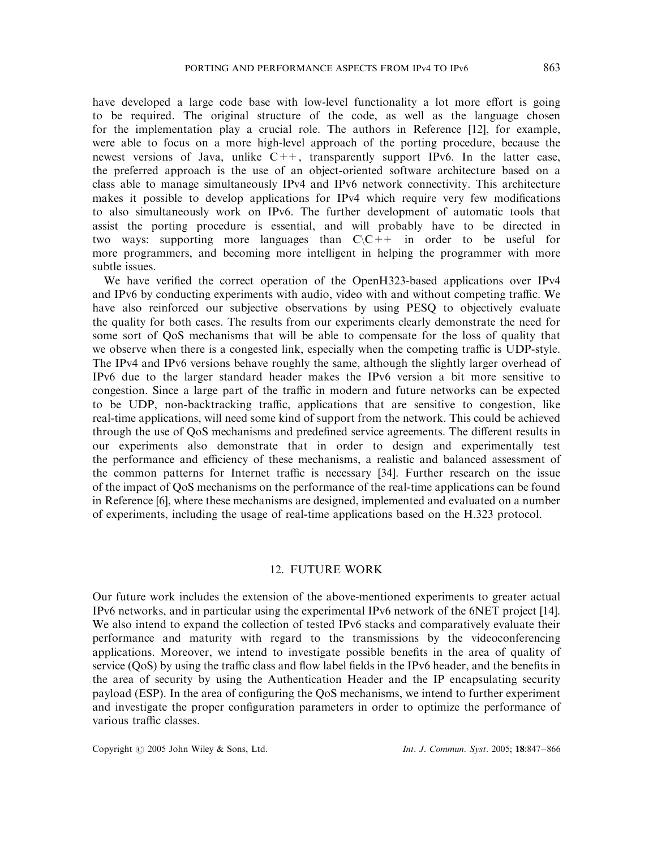have developed a large code base with low-level functionality a lot more effort is going to be required. The original structure of the code, as well as the language chosen for the implementation play a crucial role. The authors in Reference [12], for example, were able to focus on a more high-level approach of the porting procedure, because the newest versions of Java, unlike  $C++$ , transparently support IPv6. In the latter case, the preferred approach is the use of an object-oriented software architecture based on a class able to manage simultaneously IPv4 and IPv6 network connectivity. This architecture makes it possible to develop applications for IPv4 which require very few modifications to also simultaneously work on IPv6. The further development of automatic tools that assist the porting procedure is essential, and will probably have to be directed in two ways: supporting more languages than  $C\setminus C^{++}$  in order to be useful for more programmers, and becoming more intelligent in helping the programmer with more subtle issues.

We have verified the correct operation of the OpenH323-based applications over IPv4 and IPv6 by conducting experiments with audio, video with and without competing traffic. We have also reinforced our subjective observations by using PESQ to objectively evaluate the quality for both cases. The results from our experiments clearly demonstrate the need for some sort of QoS mechanisms that will be able to compensate for the loss of quality that we observe when there is a congested link, especially when the competing traffic is UDP-style. The IPv4 and IPv6 versions behave roughly the same, although the slightly larger overhead of IPv6 due to the larger standard header makes the IPv6 version a bit more sensitive to congestion. Since a large part of the traffic in modern and future networks can be expected to be UDP, non-backtracking traffic, applications that are sensitive to congestion, like real-time applications, will need some kind of support from the network. This could be achieved through the use of QoS mechanisms and predefined service agreements. The different results in our experiments also demonstrate that in order to design and experimentally test the performance and efficiency of these mechanisms, a realistic and balanced assessment of the common patterns for Internet traffic is necessary [34]. Further research on the issue of the impact of QoS mechanisms on the performance of the real-time applications can be found in Reference [6], where these mechanisms are designed, implemented and evaluated on a number of experiments, including the usage of real-time applications based on the H.323 protocol.

# 12. FUTURE WORK

Our future work includes the extension of the above-mentioned experiments to greater actual IPv6 networks, and in particular using the experimental IPv6 network of the 6NET project [14]. We also intend to expand the collection of tested IPv6 stacks and comparatively evaluate their performance and maturity with regard to the transmissions by the videoconferencing applications. Moreover, we intend to investigate possible benefits in the area of quality of service (QoS) by using the traffic class and flow label fields in the IPv6 header, and the benefits in the area of security by using the Authentication Header and the IP encapsulating security payload (ESP). In the area of configuring the QoS mechanisms, we intend to further experiment and investigate the proper configuration parameters in order to optimize the performance of various traffic classes.

Copyright  $\odot$  2005 John Wiley & Sons, Ltd. Int. J. Commun. Syst. 2005; 18:847–866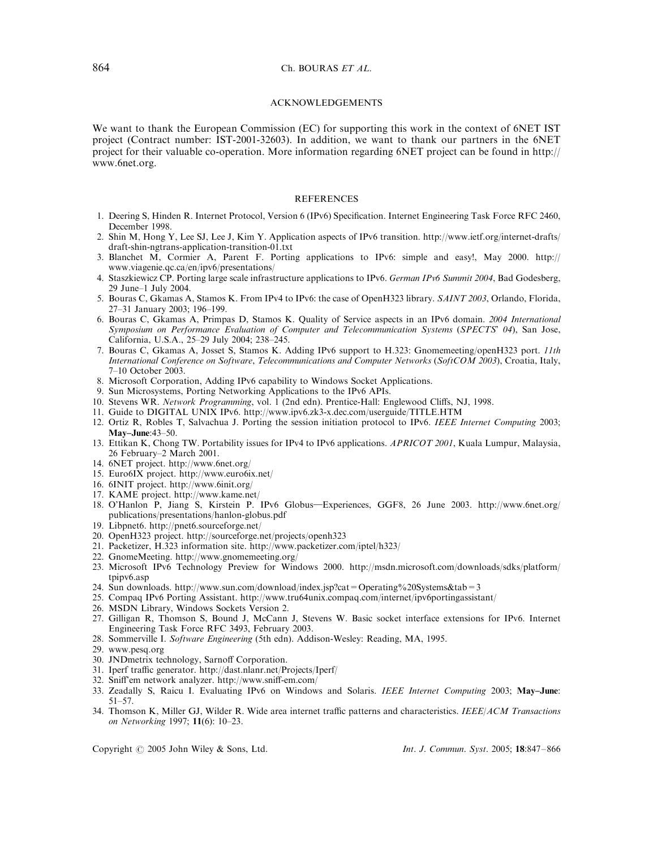#### ACKNOWLEDGEMENTS

We want to thank the European Commission (EC) for supporting this work in the context of 6NET IST project (Contract number: IST-2001-32603). In addition, we want to thank our partners in the 6NET project for their valuable co-operation. More information regarding 6NET project can be found in http:// www.6net.org.

#### **REFERENCES**

- 1. Deering S, Hinden R. Internet Protocol, Version 6 (IPv6) Specification. Internet Engineering Task Force RFC 2460, December 1998.
- 2. Shin M, Hong Y, Lee SJ, Lee J, Kim Y. Application aspects of IPv6 transition. http://www.ietf.org/internet-drafts/ draft-shin-ngtrans-application-transition-01.txt
- 3. Blanchet M, Cormier A, Parent F. Porting applications to IPv6: simple and easy!, May 2000. http:// www.viagenie.qc.ca/en/ipv6/presentations/
- 4. Staszkiewicz CP. Porting large scale infrastructure applications to IPv6. German IPv6 Summit 2004, Bad Godesberg, 29 June–1 July 2004.
- 5. Bouras C, Gkamas A, Stamos K. From IPv4 to IPv6: the case of OpenH323 library. SAINT 2003, Orlando, Florida, 27–31 January 2003; 196–199.
- 6. Bouras C, Gkamas A, Primpas D, Stamos K. Quality of Service aspects in an IPv6 domain. 2004 International Symposium on Performance Evaluation of Computer and Telecommunication Systems (SPECTS' 04), San Jose, California, U.S.A., 25–29 July 2004; 238–245.
- 7. Bouras C, Gkamas A, Josset S, Stamos K. Adding IPv6 support to H.323: Gnomemeeting/openH323 port. 11th International Conference on Software, Telecommunications and Computer Networks (SoftCOM 2003), Croatia, Italy, 7–10 October 2003.
- 8. Microsoft Corporation, Adding IPv6 capability to Windows Socket Applications.
- 9. Sun Microsystems, Porting Networking Applications to the IPv6 APIs.
- 10. Stevens WR. Network Programming, vol. 1 (2nd edn). Prentice-Hall: Englewood Cliffs, NJ, 1998.
- 11. Guide to DIGITAL UNIX IPv6. http://www.ipv6.zk3-x.dec.com/userguide/TITLE.HTM
- 12. Ortiz R, Robles T, Salvachua J. Porting the session initiation protocol to IPv6. IEEE Internet Computing 2003; May–June:43–50.
- 13. Ettikan K, Chong TW. Portability issues for IPv4 to IPv6 applications. APRICOT 2001, Kuala Lumpur, Malaysia, 26 February–2 March 2001.
- 14. 6NET project. http://www.6net.org/
- 15. Euro6IX project. http://www.euro6ix.net/
- 16. 6INIT project. http://www.6init.org/
- 17. KAME project. http://www.kame.net/
- 18. O'Hanlon P, Jiang S, Kirstein P. IPv6 Globus-Experiences, GGF8, 26 June 2003. http://www.6net.org/ publications/presentations/hanlon-globus.pdf
- 19. Libpnet6. http://pnet6.sourceforge.net/
- 20. OpenH323 project. http://sourceforge.net/projects/openh323
- 21. Packetizer, H.323 information site. http://www.packetizer.com/iptel/h323/
- 22. GnomeMeeting. http://www.gnomemeeting.org/
- 23. Microsoft IPv6 Technology Preview for Windows 2000. http://msdn.microsoft.com/downloads/sdks/platform/ tpipv6.asp
- 24. Sun downloads. http://www.sun.com/download/index.jsp?cat=Operating%20Systems&tab=3
- 25. Compaq IPv6 Porting Assistant. http://www.tru64unix.compaq.com/internet/ipv6portingassistant/
- 26. MSDN Library, Windows Sockets Version 2.
- 27. Gilligan R, Thomson S, Bound J, McCann J, Stevens W. Basic socket interface extensions for IPv6. Internet Engineering Task Force RFC 3493, February 2003.
- 28. Sommerville I. Software Engineering (5th edn). Addison-Wesley: Reading, MA, 1995.
- 29. www.pesq.org
- 30. JNDmetrix technology, Sarnoff Corporation.
- 31. Iperf traffic generator. http://dast.nlanr.net/Projects/Iperf/
- 32. Sniff'em network analyzer. http://www.sniff-em.com/
- 33. Zeadally S, Raicu I. Evaluating IPv6 on Windows and Solaris. IEEE Internet Computing 2003; May–June: 51–57.
- 34. Thomson K, Miller GJ, Wilder R. Wide area internet traffic patterns and characteristics. IEEE/ACM Transactions on Networking 1997; 11(6): 10–23.

Copyright  $\odot$  2005 John Wiley & Sons, Ltd. Int. J. Commun. Syst. 2005; 18:847-866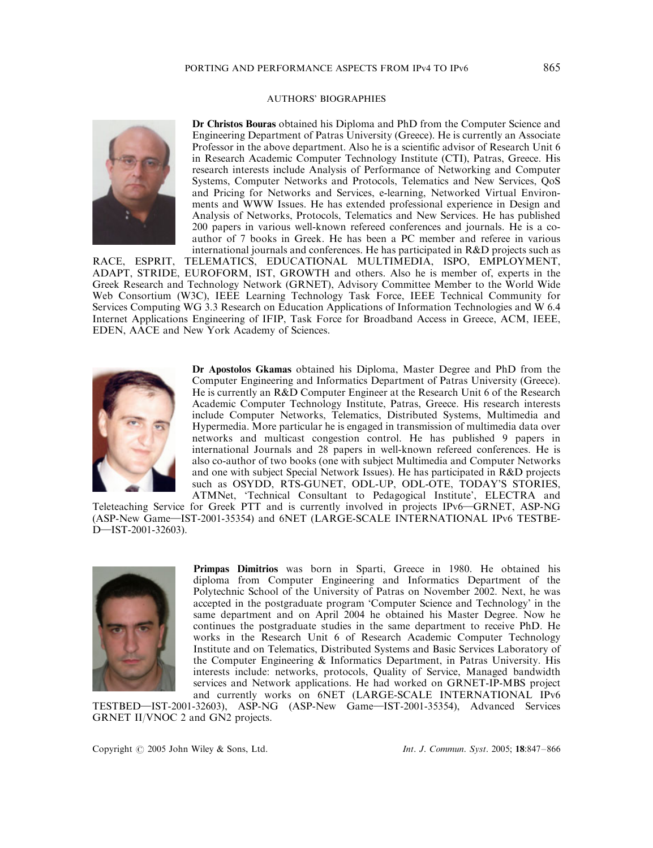#### AUTHORS' BIOGRAPHIES



Dr Christos Bouras obtained his Diploma and PhD from the Computer Science and Engineering Department of Patras University (Greece). He is currently an Associate Professor in the above department. Also he is a scientific advisor of Research Unit 6 in Research Academic Computer Technology Institute (CTI), Patras, Greece. His research interests include Analysis of Performance of Networking and Computer Systems, Computer Networks and Protocols, Telematics and New Services, QoS and Pricing for Networks and Services, e-learning, Networked Virtual Environments and WWW Issues. He has extended professional experience in Design and Analysis of Networks, Protocols, Telematics and New Services. He has published 200 papers in various well-known refereed conferences and journals. He is a coauthor of 7 books in Greek. He has been a PC member and referee in various international journals and conferences. He has participated in R&D projects such as

RACE, ESPRIT, TELEMATICS, EDUCATIONAL MULTIMEDIA, ISPO, EMPLOYMENT, ADAPT, STRIDE, EUROFORM, IST, GROWTH and others. Also he is member of, experts in the Greek Research and Technology Network (GRNET), Advisory Committee Member to the World Wide Web Consortium (W3C), IEEE Learning Technology Task Force, IEEE Technical Community for Services Computing WG 3.3 Research on Education Applications of Information Technologies and W 6.4 Internet Applications Engineering of IFIP, Task Force for Broadband Access in Greece, ACM, IEEE, EDEN, AACE and New York Academy of Sciences.



Dr Apostolos Gkamas obtained his Diploma, Master Degree and PhD from the Computer Engineering and Informatics Department of Patras University (Greece). He is currently an R&D Computer Engineer at the Research Unit 6 of the Research Academic Computer Technology Institute, Patras, Greece. His research interests include Computer Networks, Telematics, Distributed Systems, Multimedia and Hypermedia. More particular he is engaged in transmission of multimedia data over networks and multicast congestion control. He has published 9 papers in international Journals and 28 papers in well-known refereed conferences. He is also co-author of two books (one with subject Multimedia and Computer Networks and one with subject Special Network Issues). He has participated in R&D projects such as OSYDD, RTS-GUNET, ODL-UP, ODL-OTE, TODAY'S STORIES, ATMNet, 'Technical Consultant to Pedagogical Institute', ELECTRA and

Teleteaching Service for Greek PTT and is currently involved in projects IPv6—GRNET, ASP-NG (ASP-New Game-IST-2001-35354) and 6NET (LARGE-SCALE INTERNATIONAL IPv6 TESTBE-D-IST-2001-32603).



Primpas Dimitrios was born in Sparti, Greece in 1980. He obtained his diploma from Computer Engineering and Informatics Department of the Polytechnic School of the University of Patras on November 2002. Next, he was accepted in the postgraduate program 'Computer Science and Technology' in the same department and on April 2004 he obtained his Master Degree. Now he continues the postgraduate studies in the same department to receive PhD. He works in the Research Unit 6 of Research Academic Computer Technology Institute and on Telematics, Distributed Systems and Basic Services Laboratory of the Computer Engineering & Informatics Department, in Patras University. His interests include: networks, protocols, Quality of Service, Managed bandwidth services and Network applications. He had worked on GRNET-IP-MBS project and currently works on 6NET (LARGE-SCALE INTERNATIONAL IPv6

TESTBED-IST-2001-32603), ASP-NG (ASP-New Game-IST-2001-35354), Advanced Services GRNET II/VNOC 2 and GN2 projects.

Copyright  $\odot$  2005 John Wiley & Sons, Ltd. Int. J. Commun. Syst. 2005; 18:847–866